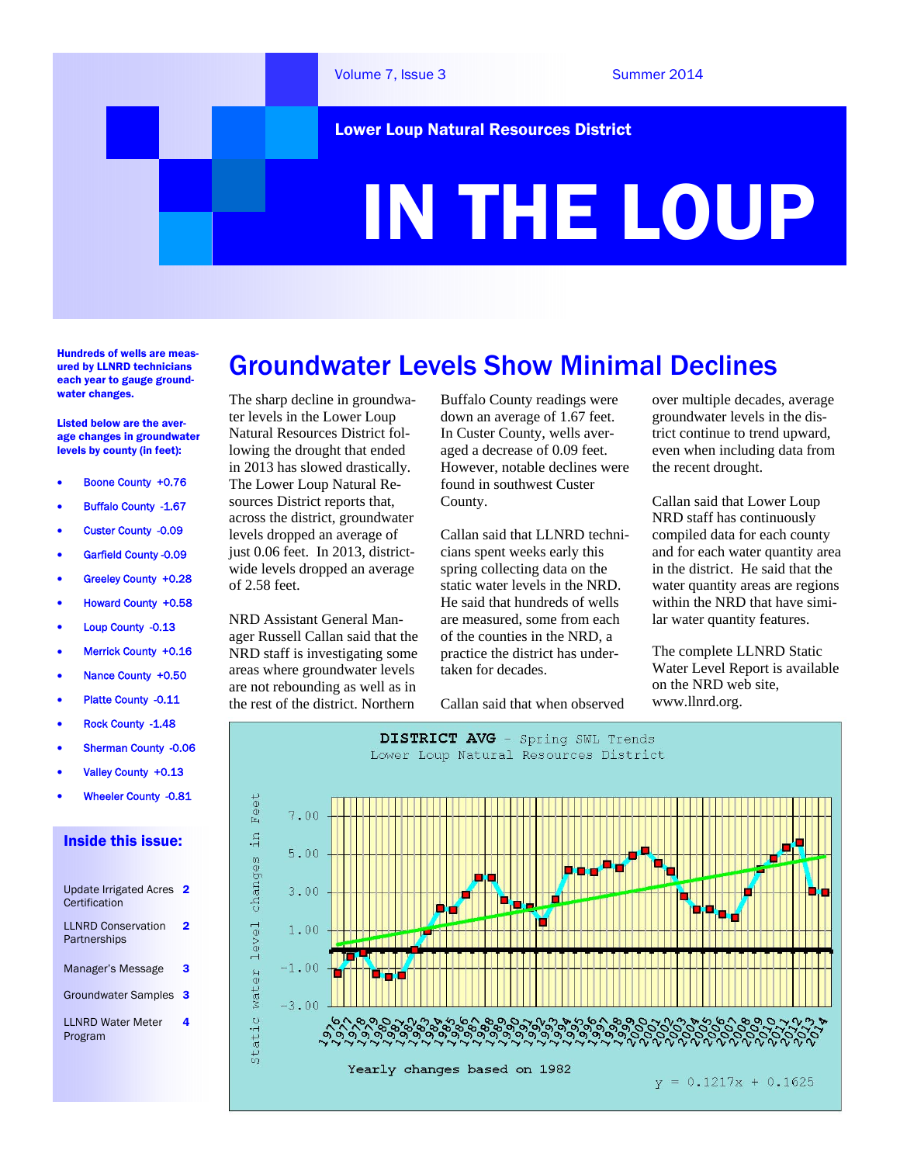

Lower Loup Natural Resources District

# IN THE LOUP

Hundreds of wells are measured by LLNRD technicians each year to gauge groundwater changes.

Listed below are the average changes in groundwater levels by county (in feet):

- Boone County +0.76
- Buffalo County -1.67
- Custer County -0.09
- Garfield County -0.09
- Greeley County +0.28
- Howard County +0.58
- Loup County -0.13
- Merrick County +0.16
- Nance County +0.50
- Platte County -0.11
- Rock County -1.48
- Sherman County -0.06
- Valley County +0.13
- Wheeler County -0.81

#### Inside this issue:

| Update Irrigated Acres<br>Certification   | 2 |
|-------------------------------------------|---|
| <b>LLNRD Conservation</b><br>Partnerships | 2 |
| Manager's Message                         | 3 |
| <b>Groundwater Samples</b>                | 3 |
| <b>I I NRD Water Meter</b><br>Program     | 4 |

## Groundwater Levels Show Minimal Declines

The sharp decline in groundwater levels in the Lower Loup Natural Resources District following the drought that ended in 2013 has slowed drastically. The Lower Loup Natural Resources District reports that, across the district, groundwater levels dropped an average of just 0.06 feet. In 2013, districtwide levels dropped an average of 2.58 feet.

NRD Assistant General Manager Russell Callan said that the NRD staff is investigating some areas where groundwater levels are not rebounding as well as in the rest of the district. Northern

Buffalo County readings were down an average of 1.67 feet. In Custer County, wells averaged a decrease of 0.09 feet. However, notable declines were found in southwest Custer County.

Callan said that LLNRD technicians spent weeks early this spring collecting data on the static water levels in the NRD. He said that hundreds of wells are measured, some from each of the counties in the NRD, a practice the district has undertaken for decades.

Callan said that when observed

over multiple decades, average groundwater levels in the district continue to trend upward, even when including data from the recent drought.

Callan said that Lower Loup NRD staff has continuously compiled data for each county and for each water quantity area in the district. He said that the water quantity areas are regions within the NRD that have similar water quantity features.

The complete LLNRD Static Water Level Report is available on the NRD web site, www.llnrd.org.

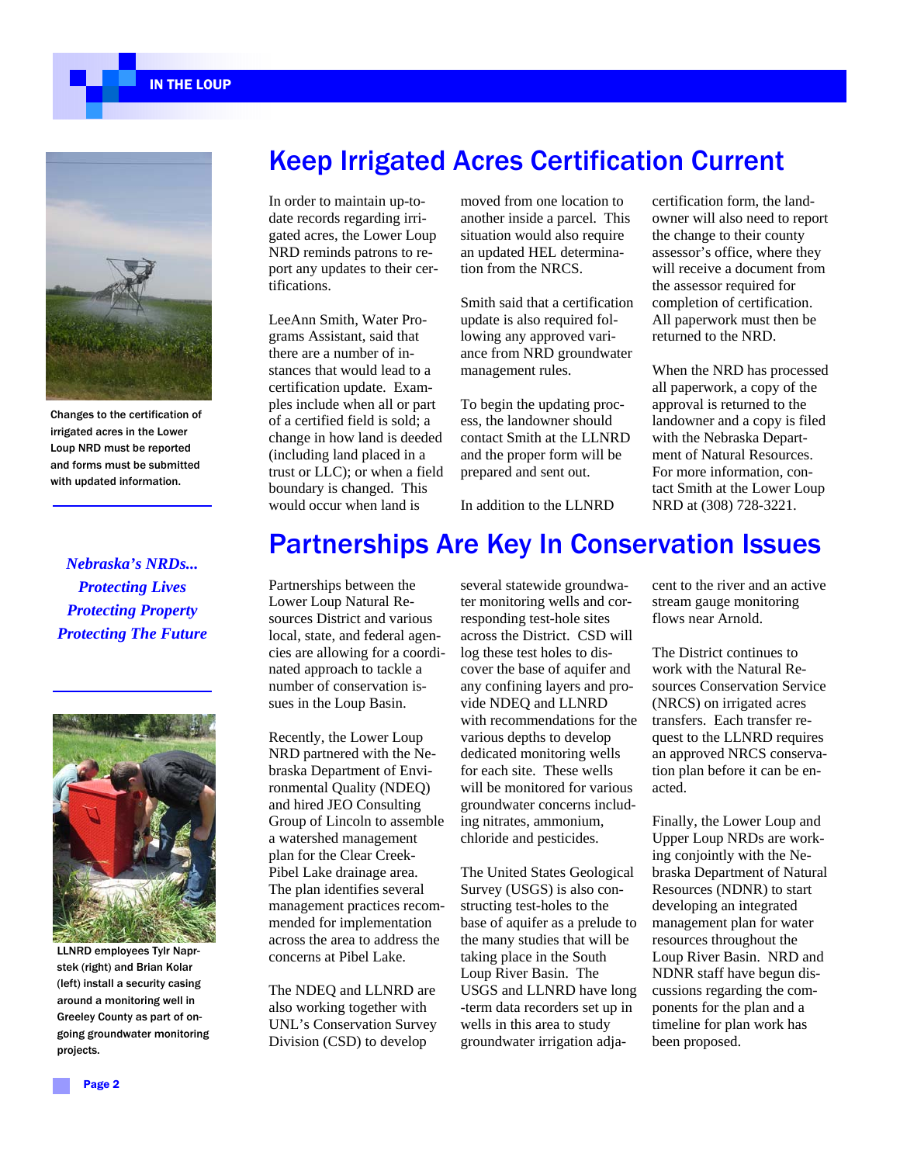IN THE LOUP



Changes to the certification of irrigated acres in the Lower Loup NRD must be reported and forms must be submitted with updated information.

*Nebraska's NRDs... Protecting Lives Protecting Property Protecting The Future* 



LLNRD employees Tylr Naprstek (right) and Brian Kolar (left) install a security casing around a monitoring well in Greeley County as part of ongoing groundwater monitoring projects.

#### Keep Irrigated Acres Certification Current

In order to maintain up-todate records regarding irrigated acres, the Lower Loup NRD reminds patrons to report any updates to their certifications.

LeeAnn Smith, Water Programs Assistant, said that there are a number of instances that would lead to a certification update. Examples include when all or part of a certified field is sold; a change in how land is deeded (including land placed in a trust or LLC); or when a field boundary is changed. This would occur when land is

moved from one location to another inside a parcel. This situation would also require an updated HEL determination from the NRCS.

Smith said that a certification update is also required following any approved variance from NRD groundwater management rules.

To begin the updating process, the landowner should contact Smith at the LLNRD and the proper form will be prepared and sent out.

In addition to the LLNRD

certification form, the landowner will also need to report the change to their county assessor's office, where they will receive a document from the assessor required for completion of certification. All paperwork must then be returned to the NRD.

When the NRD has processed all paperwork, a copy of the approval is returned to the landowner and a copy is filed with the Nebraska Department of Natural Resources. For more information, contact Smith at the Lower Loup NRD at (308) 728-3221.

#### Partnerships Are Key In Conservation Issues

Partnerships between the Lower Loup Natural Resources District and various local, state, and federal agencies are allowing for a coordinated approach to tackle a number of conservation issues in the Loup Basin.

Recently, the Lower Loup NRD partnered with the Nebraska Department of Environmental Quality (NDEQ) and hired JEO Consulting Group of Lincoln to assemble a watershed management plan for the Clear Creek-Pibel Lake drainage area. The plan identifies several management practices recommended for implementation across the area to address the concerns at Pibel Lake.

The NDEQ and LLNRD are also working together with UNL's Conservation Survey Division (CSD) to develop

several statewide groundwater monitoring wells and corresponding test-hole sites across the District. CSD will log these test holes to discover the base of aquifer and any confining layers and provide NDEQ and LLNRD with recommendations for the various depths to develop dedicated monitoring wells for each site. These wells will be monitored for various groundwater concerns including nitrates, ammonium, chloride and pesticides.

The United States Geological Survey (USGS) is also constructing test-holes to the base of aquifer as a prelude to the many studies that will be taking place in the South Loup River Basin. The USGS and LLNRD have long -term data recorders set up in wells in this area to study groundwater irrigation adjacent to the river and an active stream gauge monitoring flows near Arnold.

The District continues to work with the Natural Resources Conservation Service (NRCS) on irrigated acres transfers. Each transfer request to the LLNRD requires an approved NRCS conservation plan before it can be enacted.

Finally, the Lower Loup and Upper Loup NRDs are working conjointly with the Nebraska Department of Natural Resources (NDNR) to start developing an integrated management plan for water resources throughout the Loup River Basin. NRD and NDNR staff have begun discussions regarding the components for the plan and a timeline for plan work has been proposed.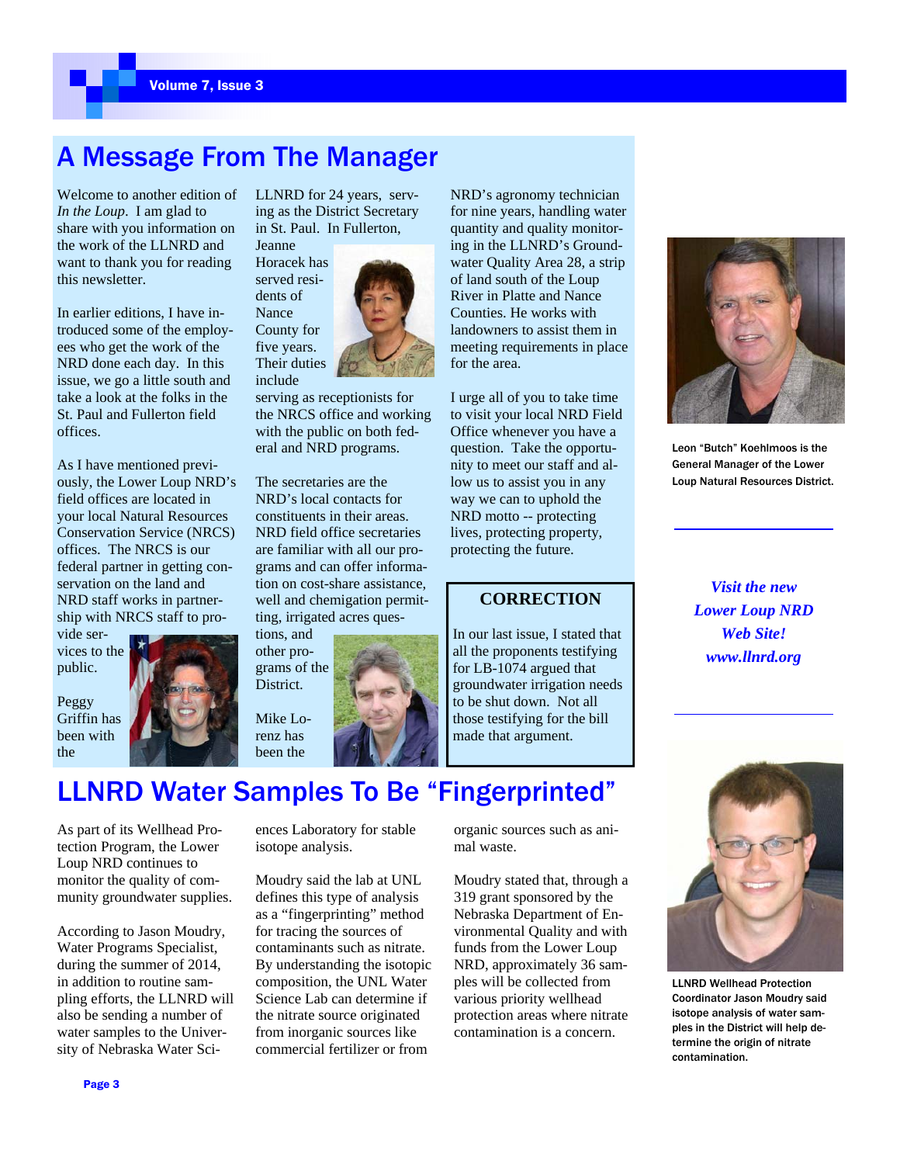### A Message From The Manager

Welcome to another edition of *In the Loup*. I am glad to share with you information on the work of the LLNRD and want to thank you for reading this newsletter.

In earlier editions, I have introduced some of the employees who get the work of the NRD done each day. In this issue, we go a little south and take a look at the folks in the St. Paul and Fullerton field offices.

As I have mentioned previously, the Lower Loup NRD's field offices are located in your local Natural Resources Conservation Service (NRCS) offices. The NRCS is our federal partner in getting conservation on the land and NRD staff works in partnership with NRCS staff to pro-

vide services to the public.

Peggy Griffin has been with the



LLNRD for 24 years, serving as the District Secretary in St. Paul. In Fullerton,

Jeanne Horacek has served residents of



serving as receptionists for the NRCS office and working with the public on both federal and NRD programs.

The secretaries are the NRD's local contacts for constituents in their areas. NRD field office secretaries are familiar with all our programs and can offer information on cost-share assistance, well and chemigation permitting, irrigated acres ques-

tions, and other programs of the District.

Mike Lorenz has been the

NRD's agronomy technician for nine years, handling water quantity and quality monitoring in the LLNRD's Groundwater Quality Area 28, a strip of land south of the Loup River in Platte and Nance Counties. He works with landowners to assist them in meeting requirements in place for the area.

I urge all of you to take time to visit your local NRD Field Office whenever you have a question. Take the opportunity to meet our staff and allow us to assist you in any way we can to uphold the NRD motto -- protecting lives, protecting property, protecting the future.

#### **CORRECTION**

In our last issue, I stated that all the proponents testifying for LB-1074 argued that groundwater irrigation needs to be shut down. Not all those testifying for the bill made that argument.



Leon "Butch" Koehlmoos is the General Manager of the Lower Loup Natural Resources District.

*Visit the new Lower Loup NRD Web Site! www.llnrd.org* 



LLNRD Wellhead Protection Coordinator Jason Moudry said isotope analysis of water samples in the District will help determine the origin of nitrate contamination.

## LLNRD Water Samples To Be "Fingerprinted"

As part of its Wellhead Protection Program, the Lower Loup NRD continues to monitor the quality of community groundwater supplies.

According to Jason Moudry, Water Programs Specialist, during the summer of 2014, in addition to routine sampling efforts, the LLNRD will also be sending a number of water samples to the University of Nebraska Water Sciences Laboratory for stable isotope analysis.

Moudry said the lab at UNL defines this type of analysis as a "fingerprinting" method for tracing the sources of contaminants such as nitrate. By understanding the isotopic composition, the UNL Water Science Lab can determine if the nitrate source originated from inorganic sources like commercial fertilizer or from

organic sources such as animal waste.

Moudry stated that, through a 319 grant sponsored by the Nebraska Department of Environmental Quality and with funds from the Lower Loup NRD, approximately 36 samples will be collected from various priority wellhead protection areas where nitrate contamination is a concern.